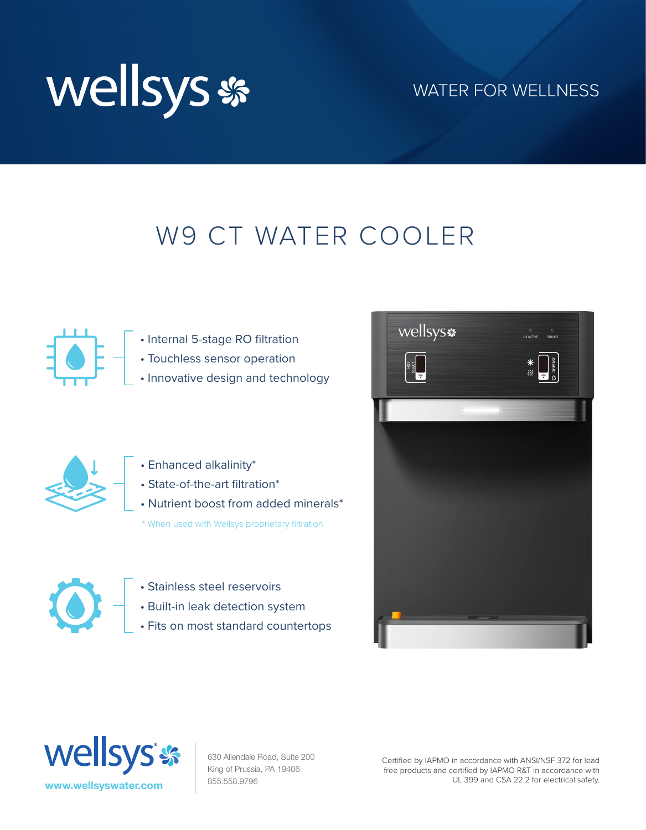

#### WATER FOR WELLNESS

## W9 CT WATER COOLER



- Internal 5-stage RO filtration
- Touchless sensor operation
- Innovative design and technology



- Enhanced alkalinity\*
- State-of-the-art filtration\*
- Nutrient boost from added minerals\*

\* When used with Wellsys proprietary filtration



- Stainless steel reservoirs
- Built-in leak detection system
- Fits on most standard countertops





630 Allendale Road, Suite 200 King of Prussia, PA 19406 855.558.9796

Certified by IAPMO in accordance with ANSI/NSF 372 for lead free products and certified by IAPMO R&T in accordance with UL 399 and CSA 22.2 for electrical safety.